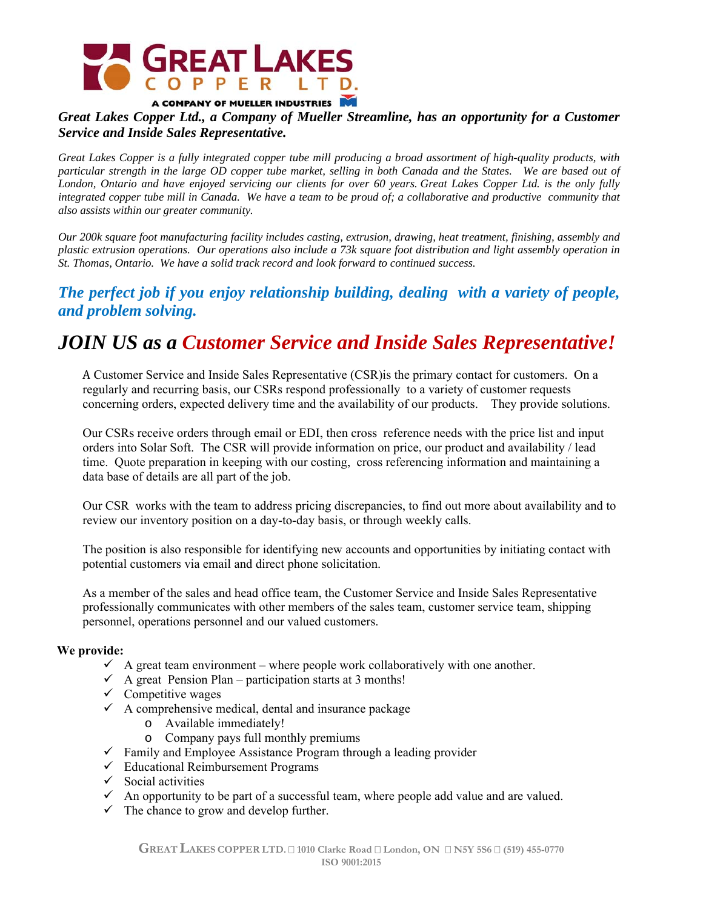

## *Great Lakes Copper Ltd., a Company of Mueller Streamline, has an opportunity for a Customer Service and Inside Sales Representative.*

*Great Lakes Copper is a fully integrated copper tube mill producing a broad assortment of high-quality products, with particular strength in the large OD copper tube market, selling in both Canada and the States. We are based out of London, Ontario and have enjoyed servicing our clients for over 60 years. Great Lakes Copper Ltd. is the only fully*  integrated copper tube mill in Canada. We have a team to be proud of; a collaborative and productive community that *also assists within our greater community.* 

*Our 200k square foot manufacturing facility includes casting, extrusion, drawing, heat treatment, finishing, assembly and plastic extrusion operations. Our operations also include a 73k square foot distribution and light assembly operation in St. Thomas, Ontario. We have a solid track record and look forward to continued success.* 

*The perfect job if you enjoy relationship building, dealing with a variety of people, and problem solving.* 

## *JOIN US as a Customer Service and Inside Sales Representative!*

A Customer Service and Inside Sales Representative (CSR)is the primary contact for customers. On a regularly and recurring basis, our CSRs respond professionally to a variety of customer requests concerning orders, expected delivery time and the availability of our products. They provide solutions.

Our CSRs receive orders through email or EDI, then cross reference needs with the price list and input orders into Solar Soft. The CSR will provide information on price, our product and availability / lead time. Quote preparation in keeping with our costing, cross referencing information and maintaining a data base of details are all part of the job.

Our CSR works with the team to address pricing discrepancies, to find out more about availability and to review our inventory position on a day-to-day basis, or through weekly calls.

The position is also responsible for identifying new accounts and opportunities by initiating contact with potential customers via email and direct phone solicitation.

As a member of the sales and head office team, the Customer Service and Inside Sales Representative professionally communicates with other members of the sales team, customer service team, shipping personnel, operations personnel and our valued customers.

## **We provide:**

- $\checkmark$  A great team environment where people work collaboratively with one another.
- $\checkmark$  A great Pension Plan participation starts at 3 months!
- $\checkmark$  Competitive wages
- $\checkmark$  A comprehensive medical, dental and insurance package
	- o Available immediately!
	- o Company pays full monthly premiums
- $\checkmark$  Family and Employee Assistance Program through a leading provider
- $\checkmark$  Educational Reimbursement Programs
- $\checkmark$  Social activities
- $\checkmark$  An opportunity to be part of a successful team, where people add value and are valued.
- $\checkmark$  The chance to grow and develop further.